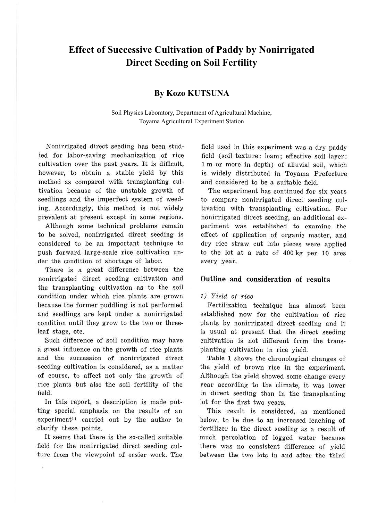# **Effect of Successive Cultivation of Paddy by Nonirrigated Direct Seeding on Soil Fertility**

# **By Kozo KUTSUNA**

Soil Physics Laboratory, Department of Agricultural Machine, Toyama Agricultural Experiment Station

Nonirrigated direct seeding has been studied for labor-saving mechanization of rice cultivation over the past years. It is difficult, however, to obtain a stable yield by this method as compared with transplanting cultivation because of the unstable growth of seedlings and the imperfect system of weeding. Accordingly, this method is not widely prevalent at present except in some regions.

Although some technical problems remain to be solved, nonirrigated direct seeding is considered to be an important technique to push forward large-scale rice cultivation under the condition of shortage of labor.

There is a great difference between the nonirrigated direct seeding cultivation and the transplanting cultivation as to the soil condition under which rice plants are grown because the former puddling is not performed and seedlings are kept under a nonirrigated condition until they grow to the two or threeleaf stage, etc.

Such difference of soil condition may have a great influence on the growth of rice plants and the succession of nonirrigated direct seeding cultivation is considered, as a matter of course, to affect not only the growth of rice plants but also the soil fertility of the field.

In this report, a description is made putting special emphasis on the results of an experiment<sup>1)</sup> carried out by the author to clarify these points.

It seems that there is the so-called suitable field for the nonirrigated direct seeding culture from the viewpoint of easier work. The field used in this experiment was a dry paddy field (soil texture: loam; effective soil layer: 1 m or more in depth) of alluvial soil, which is widely distributed in Toyama Prefecture and considered to be a suitable field.

The experiment has continued for six years to compare nonirrigated direct seeding cultivation with transplanting cultivation. For nonirrigated direct seeding, an additional experiment was established to examine the effect of application of organic matter, and dry rice straw cut into pieces were applied to the lot at a rate of 400 kg per 10 ares every year.

# **Outline and consideration of results**

## 1) Yield of rice

Fertilization technique has almost been established now for the cultivation of rice plants by nonirrigated direct seeding and it is usual at present that the direct seeding cultivation is not different from the transplanting cultivation in rice yield.

Table **1** shows the chronological changes of the yield of brown rice in the experiment. Although the yield showed some change every year according to the climate, it was lower in direct seeding than in the transplanting lot for the first two years.

This result is considered, as mentioned below, to be due to an increased leaching of fertilizer in the direct seeding as a result of much percolation of logged water because there was no consistent difference of yield between the two lots in and after the third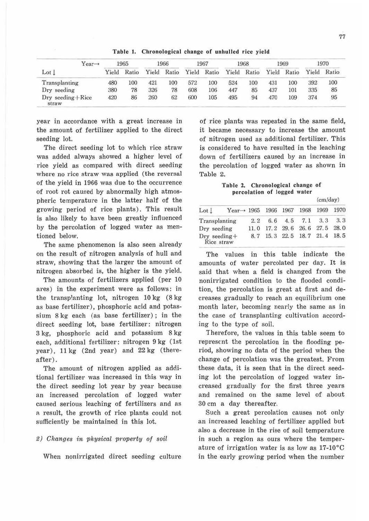| Year→                           |       | 1965  |       | 1966  |       | 1967  |       | 1968  |       | 1969  |     | 1970        |  |
|---------------------------------|-------|-------|-------|-------|-------|-------|-------|-------|-------|-------|-----|-------------|--|
| $_{\rm Lot}$ $_{\rm L}$         | Yield | Ratio | Yield | Ratio | Yield | Ratio | Yield | Ratio | Yield | Ratio |     | Yield Ratio |  |
| Transplanting                   | 480   | 100   | 421   | 100   | 572   | 100   | 524   | 100   | 431   | 100   | 392 | 100         |  |
| Dry seeding                     | 380   | 78    | 326   | 78    | 608   | 106   | 447   | 85    | 437   | 101   | 335 | 85          |  |
| $Dry$ seeding $+$ Rice<br>straw | 420   | 86    | 260   | 62    | 600   | 105   | 495   | 94    | 470   | 109   | 374 | 95          |  |

Table I. Chronological change of unhulled rice yield

year in accordance with a great increase in the amount of fertilizer applied to the direct seeding lot.

The direct seeding lot to which rice straw was added always showed a higher level of rice yield as compared with direct seeding where no rice straw was applied (the reversal of the yield in 1966 was due to the occurrence of root rot caused by abnormalJy high atmospheric temperature in the latter half of the growing period of rice plants). This result is also likely to have been greatly influenced by the percolation of logged water as mentioned below.

The same phenomenon is also seen already on the result of nitrogen analysis of hull and straw, showing that the larger the amount of nitrogen absorbed is, the higher is the yield.

The amounts of fertilizers applied (per 10 ares) in the experiment were as follows: in the transplanting lot, nitrogen 10 kg (8 kg as base fertilizer), phosphoric acid and potassium 8 kg each (as base fertilizer); in the direct seeding lot, base fertilizer: nitrogen 3 kg, phosphoric acid and potassium 8 kg each, additional fertilizer: nitrogen 9 kg (1st  $year)$ , 11 kg  $(2nd year)$  and  $22 kg$  (thereafter).

The amount of nitrogen applied as additional fertilizer was increased in this way in the direct seeding lot year by year because an increased percolation of logged water caused serious leaching of fertilizers and as a result, the growth of rice plants could not sufficiently be maintained in this lot.

#### 2) Changes in physical property of soil

When nonirrigated direct seeding culture

of rice plants was repeated in the same field, it became necessary to increase the amount of nitrogen used as additional fertilizer. This is considered to have resulted in the leaching down of fertilizers caused by an increase in the percolation of logged water as shown in Table 2.

Table 2. Chronological change of percolation of logged water  $(\cos\theta)$ 

|                                 |                         |      |          |                |                     | (cm/day)  |      |  |
|---------------------------------|-------------------------|------|----------|----------------|---------------------|-----------|------|--|
| Lot <sub>1</sub>                | Year $\rightarrow$ 1965 |      |          | 1966 1967 1968 |                     | 1969      | 1970 |  |
| Transplanting                   |                         | 2.2  | 6.6      |                | $4.5$ $7.1$ $3.3$   |           | 3.3  |  |
| Dry seeding                     |                         | 11.0 | 17.2     | 29.6           |                     | 26.6 27.5 | 28.0 |  |
| $Dry$ seeding $+$<br>Rice straw |                         |      | 8.7 15.3 |                | 22.5 18.7 21.4 18.5 |           |      |  |

The values in this table indicate the amounts of water percolated per day. It is said that when a field is changed from the nonirrigated condition to the flooded condition, the percolation is great at first and decreases gradually to reach an equilibrium one month later, becoming nearly the same as in the case of transplanting cultivation according to the type of soil.

Therefore, the values in this table seem to represent the percolation in the flooding period, showing no data of the period when the change of percolation was the greatest. From these data, it is seen that in the direct seeding lot the percolation of logged water increased gradually for the first three years and remained on the same level of about 30 cm a day thereafter.

Such a great percolation causes not only an increased leaching of fertilizer applied but also a decrease in the rise of soil temperature in such a region as ours where the temperature of irrigation water is as low as  $17\text{-}10\text{°C}$ in the early growing period when the number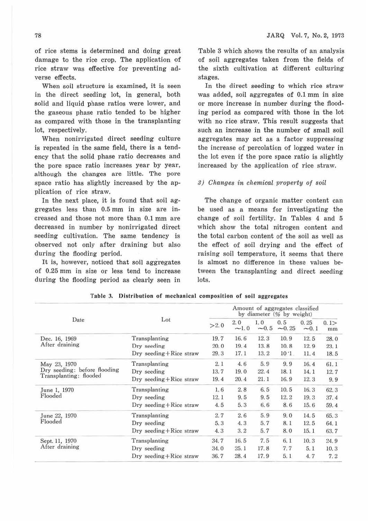of rice stems is determined and doing great damage to the rice crop. The application of rice straw was effective for preventing adverse effects.

When soil structure is examined, it is seen in the direct seeding lot, in general, both solid and liquid phase ratios were lower, and the gaseous phase ratio tended to be higher as compared with those in the transplanting lot, respectively.

When nonirrigated direct seeding culture is repeated in the same field, there is a tendency that the solid phase ratio decreases and the pore space ratio increases year by year, although the changes are little. The pore space ratio has slightly increased by the application of rice straw.

In the next place, it is found that soil aggregates less than 0.5 mm in size are increased and those not more than 0.1 mm are decreased in number by nonirrigated direct seeding cultivation. The same tendency is observed not only after draining but also during the flooding period.

It is, however, noticed that soil aggregates of 0.25 mm in size or less tend to increase during the flooding period as clearly seen in

Table 3 which shows the results of an analysis of soil aggregates taken from the fields of the sixth cultivation at different culturing stages.

In the direct seeding to which rice straw was added, soil aggregates of 0.1 mm in size or more increase in number during the flooding period as compared with those in the lot with no rice straw. This result suggests that such an increase in the number of small soil aggregates may act as a factor suppressing the increase of percolation of logged water in the lot even if the pore space ratio is slightly increased by the application of rice straw.

## 9) Changes *in* chemical vroperty of soil

The change of organic matter content can be used as a means for investigating the change of soil fertility. In Tables 4 and 5 which show the total nitrogen content and the total carbon content of the soil as well as the effect of soil drying and the effect of raising soil temperature, it seems that there is almost no difference in these values between the transplanting and direct seeding lots.

|                              |                            | Amount of aggregates classified<br>by diameter (% by weight)     |      |        |            |                                                                                             |      |  |  |
|------------------------------|----------------------------|------------------------------------------------------------------|------|--------|------------|---------------------------------------------------------------------------------------------|------|--|--|
| Date                         | Lot                        | 2.0<br>1,0<br>0.5<br>0.25<br>>2.0<br>$-0.5$<br>$-1.0$<br>$-0.25$ |      | $-0.1$ | 0.1><br>mm |                                                                                             |      |  |  |
| Dec. 16, 1969                | Transplanting              | 19.7                                                             | 16.6 | 12.3   | 10.9       | 12.5                                                                                        | 28.0 |  |  |
| After draining               | Dry seeding                | 20.0                                                             | 19.4 | 13.8   | 10.8       | 12.9                                                                                        | 23.1 |  |  |
|                              | Dry seeding+Rice straw     | 29.3                                                             | 17.1 | 13.2   | 10:1       | 11.4<br>16.4<br>14.1<br>12.3<br>16.3<br>19.3<br>15.6<br>14.5<br>12.5<br>15.1<br>10.3<br>5.1 | 18.5 |  |  |
| May 23, 1970                 | Transplanting              | 2.1                                                              | 4.6  | 5.9    | 9.9        |                                                                                             | 61.1 |  |  |
| Dry seeding: before flooding | Dry seeding                | 13.7                                                             | 19.0 | 22.4   | 18.1       |                                                                                             | 12.7 |  |  |
| Transplanting: flooded       | Dry seeding + Rice straw   | 19.4<br>21.1<br>16.9<br>20.4                                     | 9.9  |        |            |                                                                                             |      |  |  |
| June 1, 1970                 | Transplanting              | 1.6                                                              | 2.8  | 6.5    | 10.5       |                                                                                             | 62.3 |  |  |
| Flooded                      | Dry seeding                | 12.1                                                             | 9.5  | 9.5    | 12.2       |                                                                                             | 37.4 |  |  |
|                              | $Dry$ seeding + Rice straw | 4.5                                                              | 5.3  | 6.6    | 8.6        |                                                                                             | 59.4 |  |  |
| June 22, 1970                | Transplanting              | 2.7                                                              | 2.6  | 5.9    | 9.0        |                                                                                             | 65.3 |  |  |
| Flooded                      | Dry seeding                | 5.3                                                              | 4.3  | 5.7    | 8.1        |                                                                                             | 64.1 |  |  |
|                              | Dry seeding+Rice straw     | 4.3                                                              | 3, 2 | 5.7    | 8.0        |                                                                                             | 63.7 |  |  |
| Sept. 11, 1970               | Transplanting              | 34.7                                                             | 16.5 | 7.5    | 6.1        |                                                                                             | 24.9 |  |  |
| After draining               | Dry seeding                | 34.0                                                             | 25.1 | 17.8   | 7.7        |                                                                                             | 10.3 |  |  |
|                              | Dry seeding+Rice straw     | 36.7                                                             | 28.4 | 17.9   | 5.1        | 4.7                                                                                         | 7.2  |  |  |

Table 3. Distribution of mechanical composition of soil aggregates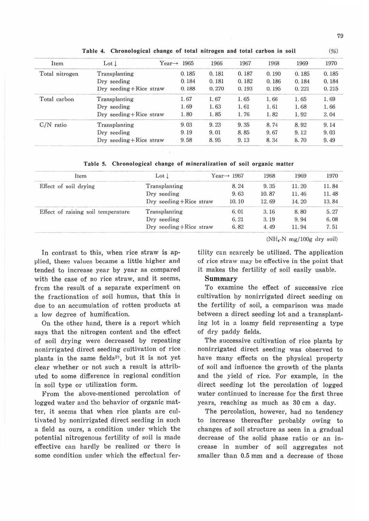| Item           | Lot <sub>l</sub>         | $Year \rightarrow$<br>1965 | 1966  | 1967  | 1968  | 1969  | 1970  |
|----------------|--------------------------|----------------------------|-------|-------|-------|-------|-------|
| Total nitrogen | Transplanting            | 0.185                      | 0.181 | 0.187 | 0.190 | 0.185 | 0.185 |
|                | Dry seeding              | 0.184                      | 0.181 | 0.182 | 0.186 | 0.184 | 0.184 |
|                | Dry seeding + Rice straw | 0.188                      | 0.270 | 0.193 | 0.195 | 0.221 | 0.215 |
| Total carbon   | Transplanting            | 1.67                       | 1.67  | 1.65  | 1.66  | 1.65  | 1.69  |
|                | Dry seeding              | 1.69                       | 1.63  | 1.61  | 1.61  | 1.68  | 1.66  |
|                | Dry seeding+Rice straw   | 1.80                       | 1.85  | 1.76  | 1.82  | 1.92  | 2.04  |
| $C/N$ ratio    | Transplanting            | 9.03                       | 9.23  | 9.35  | 8.74  | 8.92  | 9.14  |
|                | Dry seeding              | 9.19                       | 9.01  | 8.85  | 9.67  | 9.12  | 9.03  |
|                | Dry seeding + Rice straw | 9.58                       | 8.95  | 9.13  | 8.34  | 8.70  | 9.49  |

Table 4. Chronological change of total nitrogen and total carbon in soil

Table 5. Chronological change of mineralization of soil organic matter

| Item                               | $_{\text{Lot}}$          | Year $\rightarrow$ 1967 | 1968  | 1969  | 1970  |
|------------------------------------|--------------------------|-------------------------|-------|-------|-------|
| Effect of soil drying              | Transplanting            | 8.24                    | 9.35  | 11.20 | 11.84 |
|                                    | Dry seeding              | 9.63                    | 10.87 | 11.46 | 11.48 |
|                                    | Dry seeding+Rice straw   | 10.10                   | 12.69 | 14.20 | 13.84 |
| Effect of raising soil temperature | Transplanting            | 6.01                    | 3.16  | 8.80  | 5.27  |
|                                    | Dry seeding              | 6.21                    | 3.19  | 9.94  | 6.08  |
|                                    | Dry seeding + Rice straw | 6.82                    | 4.49  | 11.94 | 7.51  |

In contrast to this, when rice straw is applied, these values became a little higher and tended to increase year by year as compared with the case of no rice straw, and it seems, from the result of a separate experiment on the fractionation of soil humus, that this is due to an accumulation of rotten products at a low degree of humification.

On the other hand, there is a report which says that the nitrogen content and the effect of soil drying were decreased by repeating nonirrigated direct seeding cultivation of rice. plants in the same fields<sup>2)</sup>, but it is not yet clear whether or not such a result is attributed to some difference in regional condition in soil type or utilization form.

From the above-mentioned percolation of logged water and the behavior of organic matter, it seems that when rice plants are cultivated by nonirrigated direct seeding in such a field as ours, a condition under which the potential nitrogenous fertility of soil is made effective can hardly be realized or there is some condition under which the effectual fer $(NH_{4}N$  mg/100g dry soil)

tility can scarcely be utilized. The application of rice straw may be effective in the point that it makes the fertility of soil easily usable.

## Summary

To examine the effect of successive rice cultivation by nonirrigated direct seeding on the fertility of soil, a comparison was made between a direct seeding lot and a transplanting lot in a loamy field representing a type of dry paddy fields.

The successive cultivation of rice plants by nonirrigated direct seeding was observed to have many effects on the physical property of soil and influence the growth of the plants and the yield of rice. For example, in the direct seeding lot the percolation of logged water continued to increase for the first three years, reaching as much as 30 cm a day.

The percolation, however, had no tendency to increase thereafter probably owing to changes of soil structure as seen in a gradual decrease of the solid phase ratio or an increase in number of soil aggregates not smaller than 0.5 mm and a decrease of those

 $(96)$